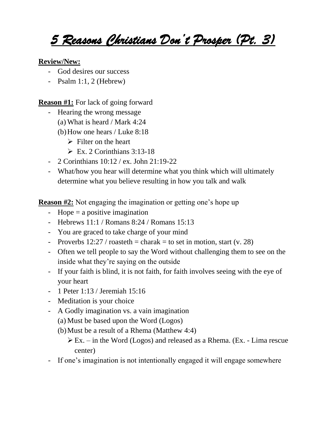## *5 Reasons Christians Don't Prosper (Pt. 3)*

## **Review/New:**

- God desires our success
- Psalm 1:1, 2 (Hebrew)

## **Reason #1:** For lack of going forward

- Hearing the wrong message
	- (a) What is heard / Mark 4:24
	- (b)How one hears / Luke 8:18
		- $\triangleright$  Filter on the heart
		- $\triangleright$  Ex. 2 Corinthians 3:13-18
- 2 Corinthians 10:12 / ex. John 21:19-22
- What/how you hear will determine what you think which will ultimately determine what you believe resulting in how you talk and walk

**Reason #2:** Not engaging the imagination or getting one's hope up

- Hope  $=$  a positive imagination
- Hebrews 11:1 / Romans 8:24 / Romans 15:13
- You are graced to take charge of your mind
- Proverbs  $12:27 / \text{roasteth} = \text{charak} = \text{to set in motion, start (v. 28)}$
- Often we tell people to say the Word without challenging them to see on the inside what they're saying on the outside
- If your faith is blind, it is not faith, for faith involves seeing with the eye of your heart
- 1 Peter 1:13 / Jeremiah 15:16
- Meditation is your choice
- A Godly imagination vs. a vain imagination
	- (a) Must be based upon the Word (Logos)
	- (b)Must be a result of a Rhema (Matthew 4:4)
		- $\triangleright$  Ex. in the Word (Logos) and released as a Rhema. (Ex. Lima rescue center)
- If one's imagination is not intentionally engaged it will engage somewhere